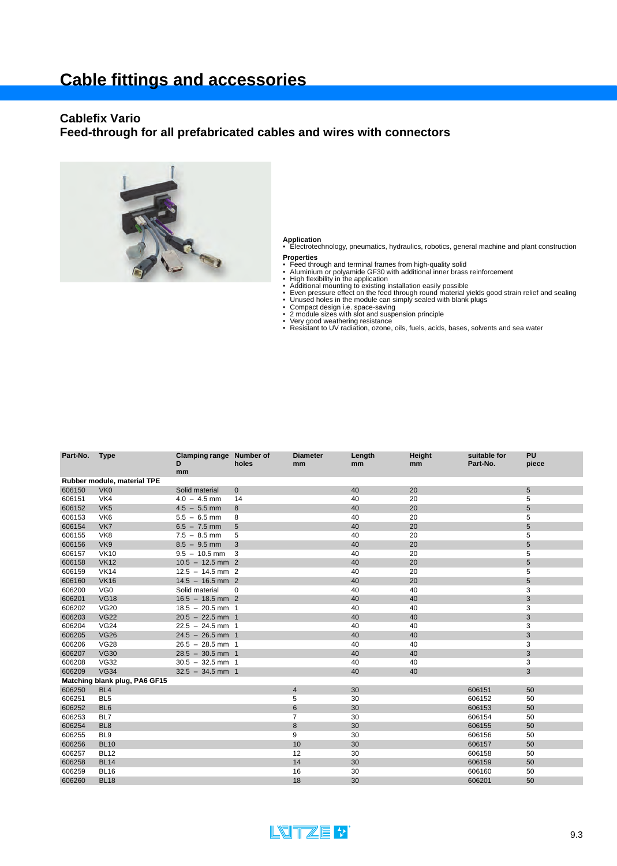#### **Cablefix Vario**

#### **Feed-through for all prefabricated cables and wires with connectors**



**Application** • Electrotechnology, pneumatics, hydraulics, robotics, general machine and plant construction **Properties**

- 
- 
- 
- 
- Feed through and terminal frames from high-quality solid<br>• Aluminium or polyamide GF30 with additional inner brass reinforcement<br>• High flexibility in the application<br>• Additional mounting to existing installation easily
- 
- 
- 
- Compact design i.e. space-saving<br>• 2 module sizes with slot and suspension principle<br>• Very good weathering resistance<br>• Resistant to UV radiation, ozone, oils, fuels, acids, bases, solvents and sea water

| Part-No.                      | <b>Type</b>                 | Clamping range Number of<br>D<br>mm | holes        | <b>Diameter</b><br>mm | Length<br>mm | Height<br>mm | suitable for<br>Part-No. | PU<br>piece |  |  |  |
|-------------------------------|-----------------------------|-------------------------------------|--------------|-----------------------|--------------|--------------|--------------------------|-------------|--|--|--|
|                               | Rubber module, material TPE |                                     |              |                       |              |              |                          |             |  |  |  |
| 606150                        | VK <sub>0</sub>             | Solid material                      | $\mathbf{0}$ |                       | 40           | 20           |                          | 5           |  |  |  |
| 606151                        | VK4                         | $4.0 - 4.5$ mm                      | 14           |                       | 40           | 20           |                          | 5           |  |  |  |
| 606152                        | VK <sub>5</sub>             | $4.5 - 5.5$ mm                      | 8            |                       | 40           | 20           |                          | 5           |  |  |  |
| 606153                        | VK <sub>6</sub>             | $5.5 - 6.5$ mm                      | 8            |                       | 40           | 20           |                          | 5           |  |  |  |
| 606154                        | VK7                         | $6.5 - 7.5$ mm                      | 5            |                       | 40           | 20           |                          | 5           |  |  |  |
| 606155                        | VK8                         | $7.5 - 8.5$ mm                      | 5            |                       | 40           | 20           |                          | 5           |  |  |  |
| 606156                        | VK9                         | $8.5 - 9.5$ mm                      | 3            |                       | 40           | 20           |                          | 5           |  |  |  |
| 606157                        | <b>VK10</b>                 | $9.5 - 10.5$ mm                     | 3            |                       | 40           | 20           |                          | 5           |  |  |  |
| 606158                        | <b>VK12</b>                 | $10.5 - 12.5$ mm 2                  |              |                       | 40           | 20           |                          | 5           |  |  |  |
| 606159                        | <b>VK14</b>                 | $12.5 - 14.5$ mm 2                  |              |                       | 40           | 20           |                          | 5           |  |  |  |
| 606160                        | <b>VK16</b>                 | $14.5 - 16.5$ mm 2                  |              |                       | 40           | 20           |                          | 5           |  |  |  |
| 606200                        | VG <sub>0</sub>             | Solid material                      | 0            |                       | 40           | 40           |                          | 3           |  |  |  |
| 606201                        | <b>VG18</b>                 | $16.5 - 18.5$ mm 2                  |              |                       | 40           | 40           |                          | 3           |  |  |  |
| 606202                        | <b>VG20</b>                 | $18.5 - 20.5$ mm 1                  |              |                       | 40           | 40           |                          | 3           |  |  |  |
| 606203                        | <b>VG22</b>                 | $20.5 - 22.5$ mm 1                  |              |                       | 40           | 40           |                          | 3           |  |  |  |
| 606204                        | <b>VG24</b>                 | $22.5 - 24.5$ mm 1                  |              |                       | 40           | 40           |                          | 3           |  |  |  |
| 606205                        | <b>VG26</b>                 | $24.5 - 26.5$ mm 1                  |              |                       | 40           | 40           |                          | 3           |  |  |  |
| 606206                        | <b>VG28</b>                 | $26.5 - 28.5$ mm 1                  |              |                       | 40           | 40           |                          | 3           |  |  |  |
| 606207                        | <b>VG30</b>                 | $28.5 - 30.5$ mm 1                  |              |                       | 40           | 40           |                          | 3           |  |  |  |
| 606208                        | <b>VG32</b>                 | $30.5 - 32.5$ mm 1                  |              |                       | 40           | 40           |                          | 3           |  |  |  |
| 606209                        | <b>VG34</b>                 | $32.5 - 34.5$ mm 1                  |              |                       | 40           | 40           |                          | 3           |  |  |  |
| Matching blank plug, PA6 GF15 |                             |                                     |              |                       |              |              |                          |             |  |  |  |
| 606250                        | BL <sub>4</sub>             |                                     |              | $\overline{4}$        | 30           |              | 606151                   | 50          |  |  |  |
| 606251                        | BL <sub>5</sub>             |                                     |              | 5                     | 30           |              | 606152                   | 50          |  |  |  |
| 606252                        | BL <sub>6</sub>             |                                     |              | $6\phantom{1}6$       | 30           |              | 606153                   | 50          |  |  |  |
| 606253                        | BL7                         |                                     |              | 7                     | 30           |              | 606154                   | 50          |  |  |  |
| 606254                        | BL <sub>8</sub>             |                                     |              | 8                     | 30           |              | 606155                   | 50          |  |  |  |
| 606255                        | BL <sub>9</sub>             |                                     |              | 9                     | 30           |              | 606156                   | 50          |  |  |  |
| 606256                        | <b>BL10</b>                 |                                     |              | 10                    | 30           |              | 606157                   | 50          |  |  |  |
| 606257                        | <b>BL12</b>                 |                                     |              | 12                    | 30           |              | 606158                   | 50          |  |  |  |
| 606258                        | <b>BL14</b>                 |                                     |              | 14                    | 30           |              | 606159                   | 50          |  |  |  |
| 606259                        | <b>BL16</b>                 |                                     |              | 16                    | 30           |              | 606160                   | 50          |  |  |  |
| 606260                        | <b>BL18</b>                 |                                     |              | 18                    | 30           |              | 606201                   | 50          |  |  |  |
|                               |                             |                                     |              |                       |              |              |                          |             |  |  |  |

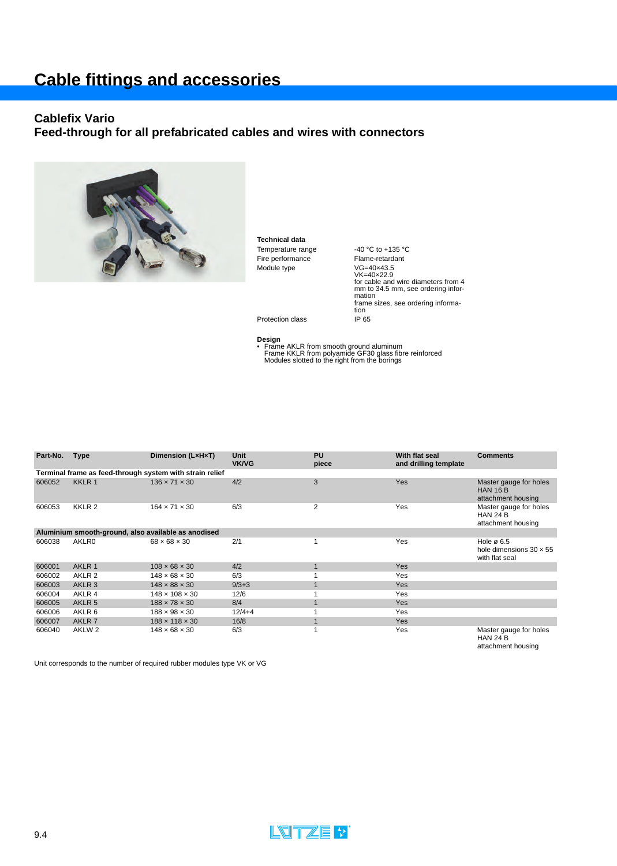# **Cable fittings and accessories**

#### **Cablefix Vario**

## **Feed-through for all prefabricated cables and wires with connectors**



**Technical data** Temperature range 40 °C to +135 °C<br>Fire performance Flame-retardant Fire performance

Module type VG=40×43.5 VK=40×22.9 for cable and wire diameters from 4 mm to 34.5 mm, see ordering information frame sizes, see ordering information

Protection class IP 65

**Design** • Frame AKLR from smooth ground aluminum Frame KKLR from polyamide GF30 glass fibre reinforced Modules slotted to the right from the borings

| Part-No.                                                 | <b>Type</b>       | Dimension (LxHxT)          | <b>Unit</b><br><b>VK/VG</b> | PU<br>piece  | With flat seal<br>and drilling template | <b>Comments</b>                                                            |  |  |  |  |  |  |
|----------------------------------------------------------|-------------------|----------------------------|-----------------------------|--------------|-----------------------------------------|----------------------------------------------------------------------------|--|--|--|--|--|--|
| Terminal frame as feed-through system with strain relief |                   |                            |                             |              |                                         |                                                                            |  |  |  |  |  |  |
| 606052                                                   | KKLR 1            | $136 \times 71 \times 30$  | 4/2                         | 3            | Yes                                     | Master gauge for holes<br><b>HAN 16 B</b><br>attachment housing            |  |  |  |  |  |  |
| 606053                                                   | KKLR <sub>2</sub> | $164 \times 71 \times 30$  | 6/3                         | 2            | Yes                                     | Master gauge for holes<br><b>HAN 24 B</b><br>attachment housing            |  |  |  |  |  |  |
| Aluminium smooth-ground, also available as anodised      |                   |                            |                             |              |                                         |                                                                            |  |  |  |  |  |  |
| 606038                                                   | <b>AKLR0</b>      | $68 \times 68 \times 30$   | 2/1                         |              | Yes                                     | Hole $\varnothing$ 6.5<br>hole dimensions $30 \times 55$<br>with flat seal |  |  |  |  |  |  |
| 606001                                                   | AKLR 1            | $108 \times 68 \times 30$  | 4/2                         | $\mathbf{1}$ | Yes                                     |                                                                            |  |  |  |  |  |  |
| 606002                                                   | AKLR 2            | $148 \times 68 \times 30$  | 6/3                         |              | Yes                                     |                                                                            |  |  |  |  |  |  |
| 606003                                                   | AKLR <sub>3</sub> | $148 \times 88 \times 30$  | $9/3 + 3$                   |              | Yes                                     |                                                                            |  |  |  |  |  |  |
| 606004                                                   | AKLR 4            | $148 \times 108 \times 30$ | 12/6                        |              | Yes                                     |                                                                            |  |  |  |  |  |  |
| 606005                                                   | AKLR <sub>5</sub> | $188 \times 78 \times 30$  | 8/4                         |              | Yes                                     |                                                                            |  |  |  |  |  |  |
| 606006                                                   | AKLR 6            | $188 \times 98 \times 30$  | $12/4 + 4$                  |              | Yes                                     |                                                                            |  |  |  |  |  |  |
| 606007                                                   | AKLR 7            | $188 \times 118 \times 30$ | 16/8                        |              | <b>Yes</b>                              |                                                                            |  |  |  |  |  |  |
| 606040                                                   | AKLW <sub>2</sub> | $148 \times 68 \times 30$  | 6/3                         |              | Yes                                     | Master gauge for holes<br>$\left  \right $                                 |  |  |  |  |  |  |

HAN 24 B attachment housing

Unit corresponds to the number of required rubber modules type VK or VG